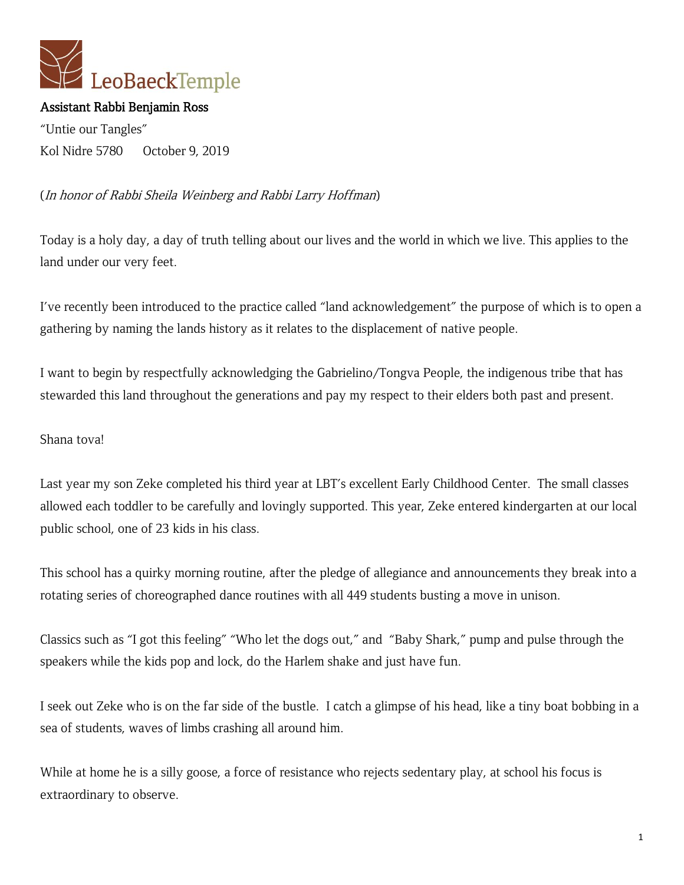

## Assistant Rabbi Benjamin Ross

"Untie our Tangles" Kol Nidre 5780 October 9, 2019

## (In honor of Rabbi Sheila Weinberg and Rabbi Larry Hoffman)

Today is a holy day, a day of truth telling about our lives and the world in which we live. This applies to the land under our very feet.

I've recently been introduced to the practice called "land acknowledgement" the purpose of which is to open a gathering by naming the lands history as it relates to the displacement of native people.

I want to begin by respectfully acknowledging the Gabrielino/Tongva People, the indigenous tribe that has stewarded this land throughout the generations and pay my respect to their elders both past and present.

Shana tova!

Last year my son Zeke completed his third year at LBT's excellent Early Childhood Center. The small classes allowed each toddler to be carefully and lovingly supported. This year, Zeke entered kindergarten at our local public school, one of 23 kids in his class.

This school has a quirky morning routine, after the pledge of allegiance and announcements they break into a rotating series of choreographed dance routines with all 449 students busting a move in unison.

Classics such as "I got this feeling" "Who let the dogs out," and "Baby Shark," pump and pulse through the speakers while the kids pop and lock, do the Harlem shake and just have fun.

I seek out Zeke who is on the far side of the bustle. I catch a glimpse of his head, like a tiny boat bobbing in a sea of students, waves of limbs crashing all around him.

While at home he is a silly goose, a force of resistance who rejects sedentary play, at school his focus is extraordinary to observe.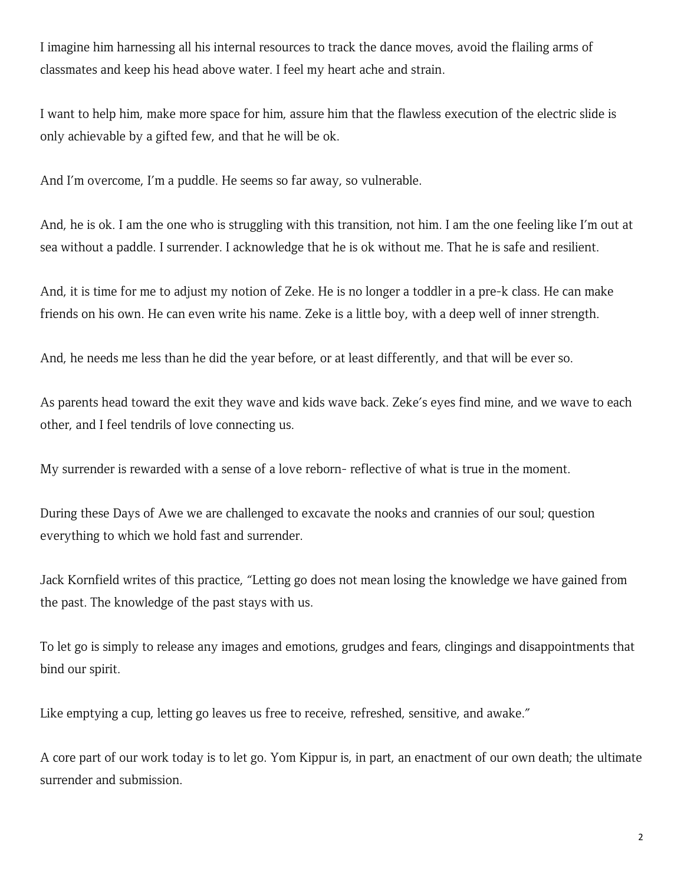I imagine him harnessing all his internal resources to track the dance moves, avoid the flailing arms of classmates and keep his head above water. I feel my heart ache and strain.

I want to help him, make more space for him, assure him that the flawless execution of the electric slide is only achievable by a gifted few, and that he will be ok.

And I'm overcome, I'm a puddle. He seems so far away, so vulnerable.

And, he is ok. I am the one who is struggling with this transition, not him. I am the one feeling like I'm out at sea without a paddle. I surrender. I acknowledge that he is ok without me. That he is safe and resilient.

And, it is time for me to adjust my notion of Zeke. He is no longer a toddler in a pre-k class. He can make friends on his own. He can even write his name. Zeke is a little boy, with a deep well of inner strength.

And, he needs me less than he did the year before, or at least differently, and that will be ever so.

As parents head toward the exit they wave and kids wave back. Zeke's eyes find mine, and we wave to each other, and I feel tendrils of love connecting us.

My surrender is rewarded with a sense of a love reborn- reflective of what is true in the moment.

During these Days of Awe we are challenged to excavate the nooks and crannies of our soul; question everything to which we hold fast and surrender.

Jack Kornfield writes of this practice, "Letting go does not mean losing the knowledge we have gained from the past. The knowledge of the past stays with us.

To let go is simply to release any images and emotions, grudges and fears, clingings and disappointments that bind our spirit.

Like emptying a cup, letting go leaves us free to receive, refreshed, sensitive, and awake."

A core part of our work today is to let go. Yom Kippur is, in part, an enactment of our own death; the ultimate surrender and submission.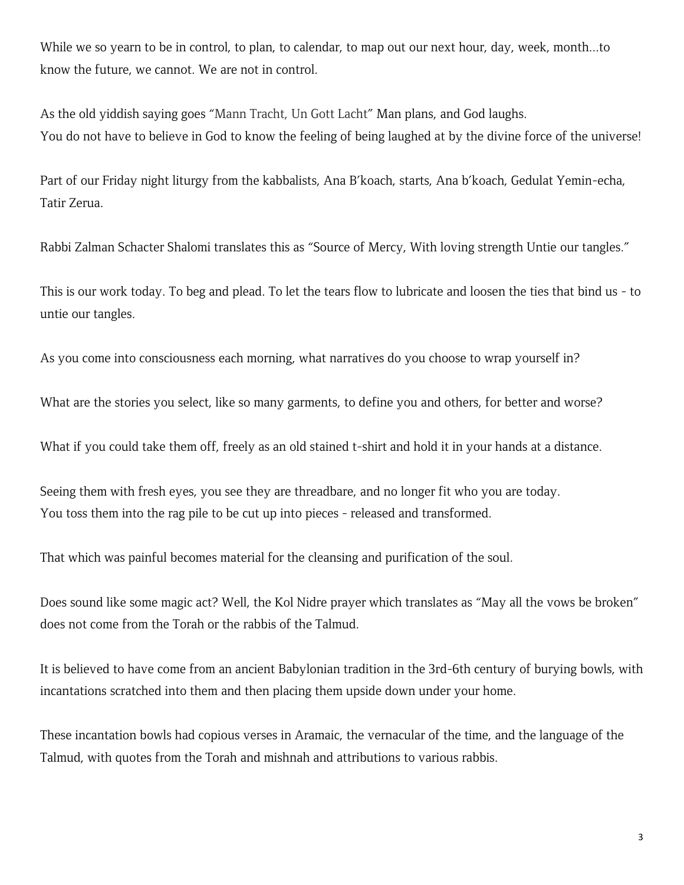While we so yearn to be in control, to plan, to calendar, to map out our next hour, day, week, month...to know the future, we cannot. We are not in control.

As the old yiddish saying goes "Mann Tracht, Un Gott Lacht" Man plans, and God laughs. You do not have to believe in God to know the feeling of being laughed at by the divine force of the universe!

Part of our Friday night liturgy from the kabbalists, Ana B'koach, starts, Ana b'koach, Gedulat Yemin-echa, Tatir Zerua.

Rabbi Zalman Schacter Shalomi translates this as "Source of Mercy, With loving strength Untie our tangles."

This is our work today. To beg and plead. To let the tears flow to lubricate and loosen the ties that bind us - to untie our tangles.

As you come into consciousness each morning, what narratives do you choose to wrap yourself in?

What are the stories you select, like so many garments, to define you and others, for better and worse?

What if you could take them off, freely as an old stained t-shirt and hold it in your hands at a distance.

Seeing them with fresh eyes, you see they are threadbare, and no longer fit who you are today. You toss them into the rag pile to be cut up into pieces - released and transformed.

That which was painful becomes material for the cleansing and purification of the soul.

Does sound like some magic act? Well, the Kol Nidre prayer which translates as "May all the vows be broken" does not come from the Torah or the rabbis of the Talmud.

It is believed to have come from an ancient Babylonian tradition in the 3rd-6th century of burying bowls, with incantations scratched into them and then placing them upside down under your home.

These incantation bowls had copious verses in Aramaic, the vernacular of the time, and the language of the Talmud, with quotes from the Torah and mishnah and attributions to various rabbis.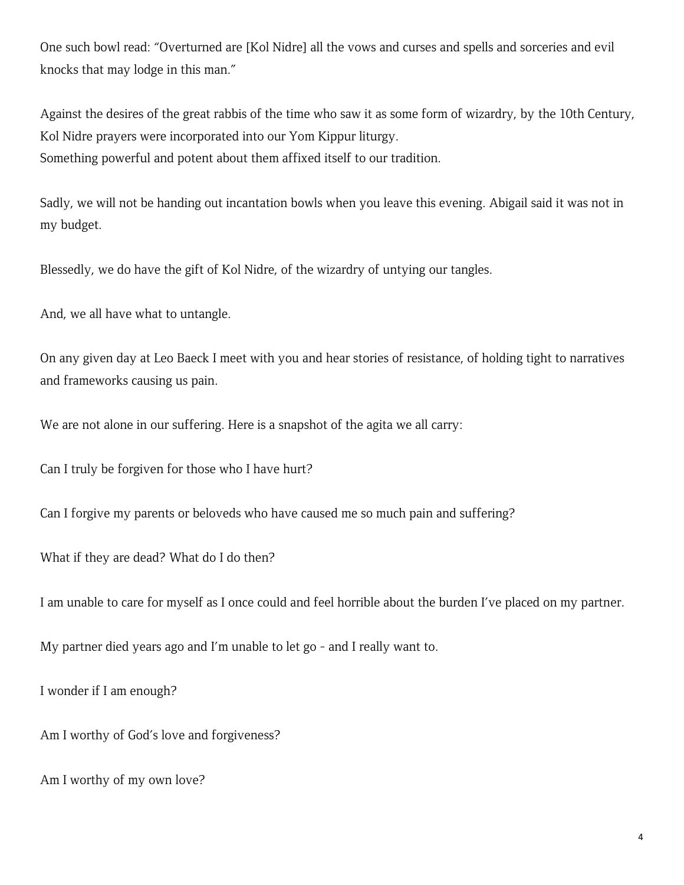One such bowl read: "Overturned are [Kol Nidre] all the vows and curses and spells and sorceries and evil knocks that may lodge in this man."

Against the desires of the great rabbis of the time who saw it as some form of wizardry, by the 10th Century, Kol Nidre prayers were incorporated into our Yom Kippur liturgy. Something powerful and potent about them affixed itself to our tradition.

Sadly, we will not be handing out incantation bowls when you leave this evening. Abigail said it was not in my budget.

Blessedly, we do have the gift of Kol Nidre, of the wizardry of untying our tangles.

And, we all have what to untangle.

On any given day at Leo Baeck I meet with you and hear stories of resistance, of holding tight to narratives and frameworks causing us pain.

We are not alone in our suffering. Here is a snapshot of the agita we all carry:

Can I truly be forgiven for those who I have hurt?

Can I forgive my parents or beloveds who have caused me so much pain and suffering?

What if they are dead? What do I do then?

I am unable to care for myself as I once could and feel horrible about the burden I've placed on my partner.

My partner died years ago and I'm unable to let go - and I really want to.

I wonder if I am enough?

Am I worthy of God's love and forgiveness?

Am I worthy of my own love?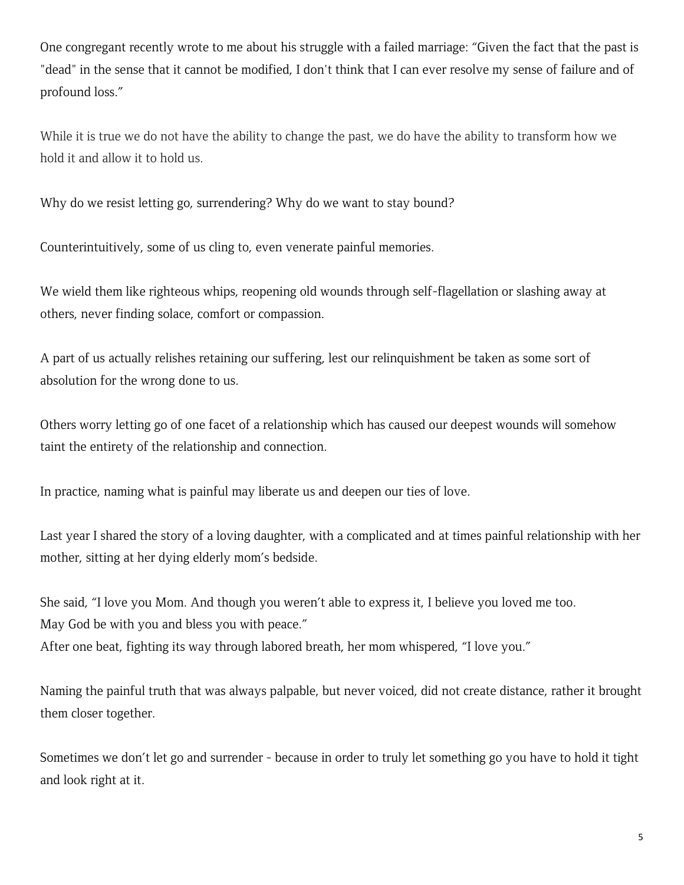One congregant recently wrote to me about his struggle with a failed marriage: "Given the fact that the past is "dead" in the sense that it cannot be modified, I don't think that I can ever resolve my sense of failure and of profound loss."

While it is true we do not have the ability to change the past, we do have the ability to transform how we hold it and allow it to hold us.

Why do we resist letting go, surrendering? Why do we want to stay bound?

Counterintuitively, some of us cling to, even venerate painful memories.

We wield them like righteous whips, reopening old wounds through self-flagellation or slashing away at others, never finding solace, comfort or compassion.

A part of us actually relishes retaining our suffering, lest our relinquishment be taken as some sort of absolution for the wrong done to us.

Others worry letting go of one facet of a relationship which has caused our deepest wounds will somehow taint the entirety of the relationship and connection.

In practice, naming what is painful may liberate us and deepen our ties of love.

Last year I shared the story of a loving daughter, with a complicated and at times painful relationship with her mother, sitting at her dying elderly mom's bedside.

She said, "I love you Mom. And though you weren't able to express it, I believe you loved me too. May God be with you and bless you with peace." After one beat, fighting its way through labored breath, her mom whispered, "I love you."

Naming the painful truth that was always palpable, but never voiced, did not create distance, rather it brought them closer together.

Sometimes we don't let go and surrender - because in order to truly let something go you have to hold it tight and look right at it.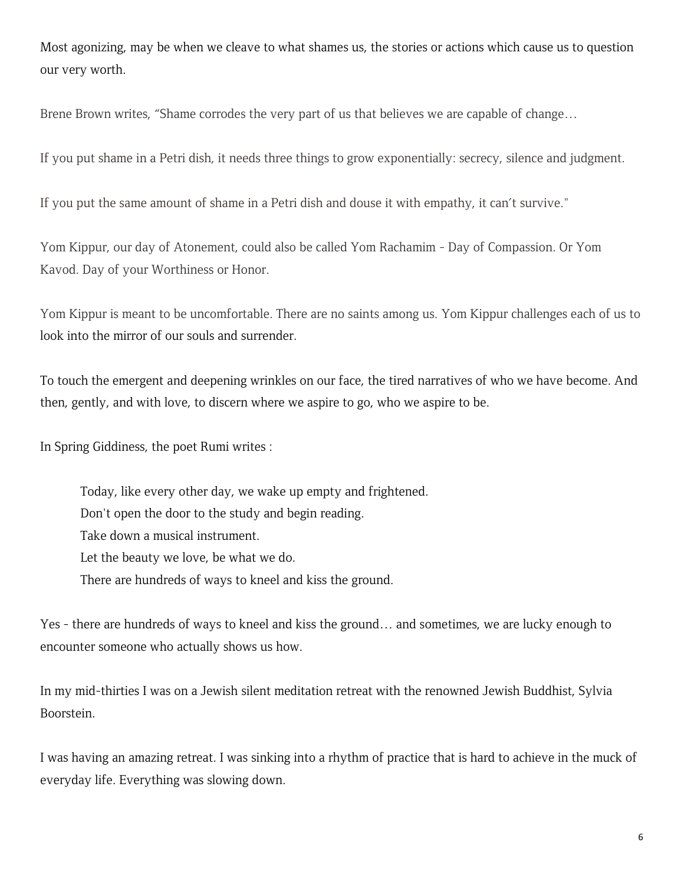Most agonizing, may be when we cleave to what shames us, the stories or actions which cause us to question our very worth.

Brene Brown writes, "Shame corrodes the very part of us that believes we are capable of change…

If you put shame in a Petri dish, it needs three things to grow exponentially: secrecy, silence and judgment.

If you put the same amount of shame in a Petri dish and douse it with empathy, it can't survive."

Yom Kippur, our day of Atonement, could also be called Yom Rachamim - Day of Compassion. Or Yom Kavod. Day of your Worthiness or Honor.

Yom Kippur is meant to be uncomfortable. There are no saints among us. Yom Kippur challenges each of us to look into the mirror of our souls and surrender.

To touch the emergent and deepening wrinkles on our face, the tired narratives of who we have become. And then, gently, and with love, to discern where we aspire to go, who we aspire to be.

In Spring Giddiness, the poet Rumi writes :

Today, like every other day, we wake up empty and frightened. Don't open the door to the study and begin reading. Take down a musical instrument. Let the beauty we love, be what we do. There are hundreds of ways to kneel and kiss the ground.

Yes - there are hundreds of ways to kneel and kiss the ground… and sometimes, we are lucky enough to encounter someone who actually shows us how.

In my mid-thirties I was on a Jewish silent meditation retreat with the renowned Jewish Buddhist, Sylvia Boorstein.

I was having an amazing retreat. I was sinking into a rhythm of practice that is hard to achieve in the muck of everyday life. Everything was slowing down.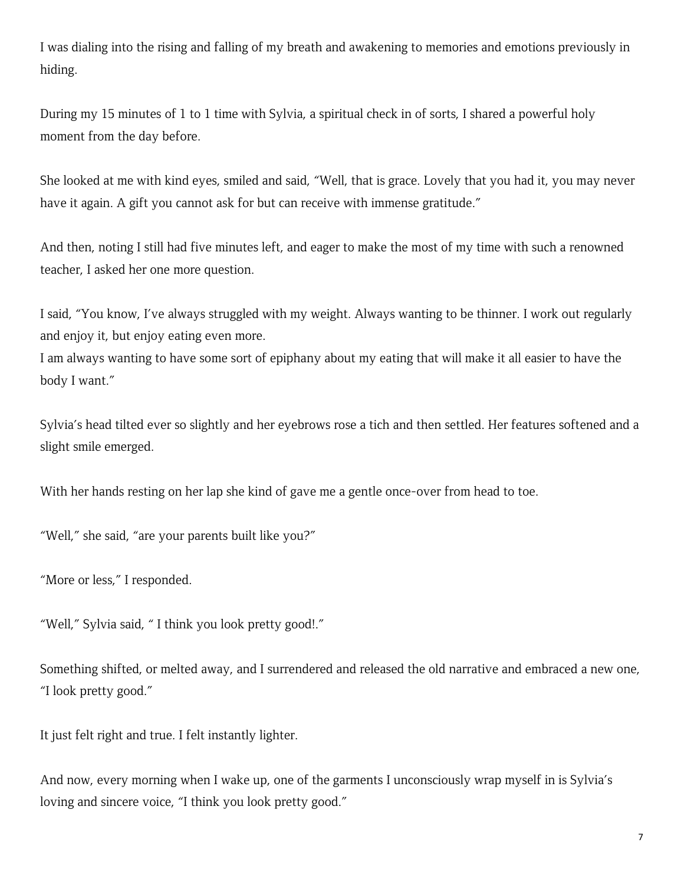I was dialing into the rising and falling of my breath and awakening to memories and emotions previously in hiding.

During my 15 minutes of 1 to 1 time with Sylvia, a spiritual check in of sorts, I shared a powerful holy moment from the day before.

She looked at me with kind eyes, smiled and said, "Well, that is grace. Lovely that you had it, you may never have it again. A gift you cannot ask for but can receive with immense gratitude."

And then, noting I still had five minutes left, and eager to make the most of my time with such a renowned teacher, I asked her one more question.

I said, "You know, I've always struggled with my weight. Always wanting to be thinner. I work out regularly and enjoy it, but enjoy eating even more.

I am always wanting to have some sort of epiphany about my eating that will make it all easier to have the body I want."

Sylvia's head tilted ever so slightly and her eyebrows rose a tich and then settled. Her features softened and a slight smile emerged.

With her hands resting on her lap she kind of gave me a gentle once-over from head to toe.

"Well," she said, "are your parents built like you?"

"More or less," I responded.

"Well," Sylvia said, " I think you look pretty good!."

Something shifted, or melted away, and I surrendered and released the old narrative and embraced a new one, "I look pretty good."

It just felt right and true. I felt instantly lighter.

And now, every morning when I wake up, one of the garments I unconsciously wrap myself in is Sylvia's loving and sincere voice, "I think you look pretty good."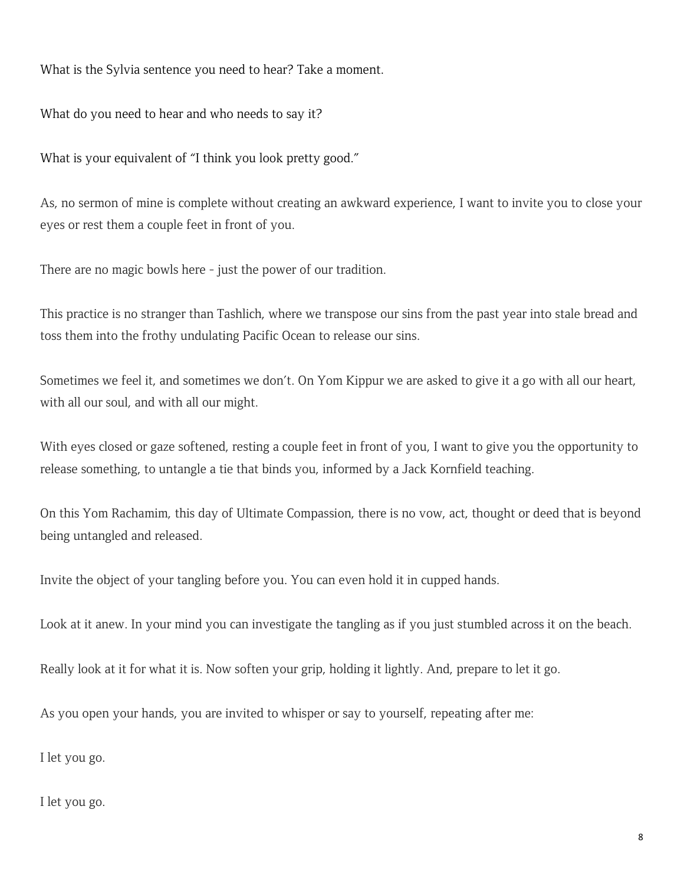What is the Sylvia sentence you need to hear? Take a moment.

What do you need to hear and who needs to say it?

What is your equivalent of "I think you look pretty good."

As, no sermon of mine is complete without creating an awkward experience, I want to invite you to close your eyes or rest them a couple feet in front of you.

There are no magic bowls here - just the power of our tradition.

This practice is no stranger than Tashlich, where we transpose our sins from the past year into stale bread and toss them into the frothy undulating Pacific Ocean to release our sins.

Sometimes we feel it, and sometimes we don't. On Yom Kippur we are asked to give it a go with all our heart, with all our soul, and with all our might.

With eyes closed or gaze softened, resting a couple feet in front of you, I want to give you the opportunity to release something, to untangle a tie that binds you, informed by a Jack Kornfield teaching.

On this Yom Rachamim, this day of Ultimate Compassion, there is no vow, act, thought or deed that is beyond being untangled and released.

Invite the object of your tangling before you. You can even hold it in cupped hands.

Look at it anew. In your mind you can investigate the tangling as if you just stumbled across it on the beach.

Really look at it for what it is. Now soften your grip, holding it lightly. And, prepare to let it go.

As you open your hands, you are invited to whisper or say to yourself, repeating after me:

I let you go.

I let you go.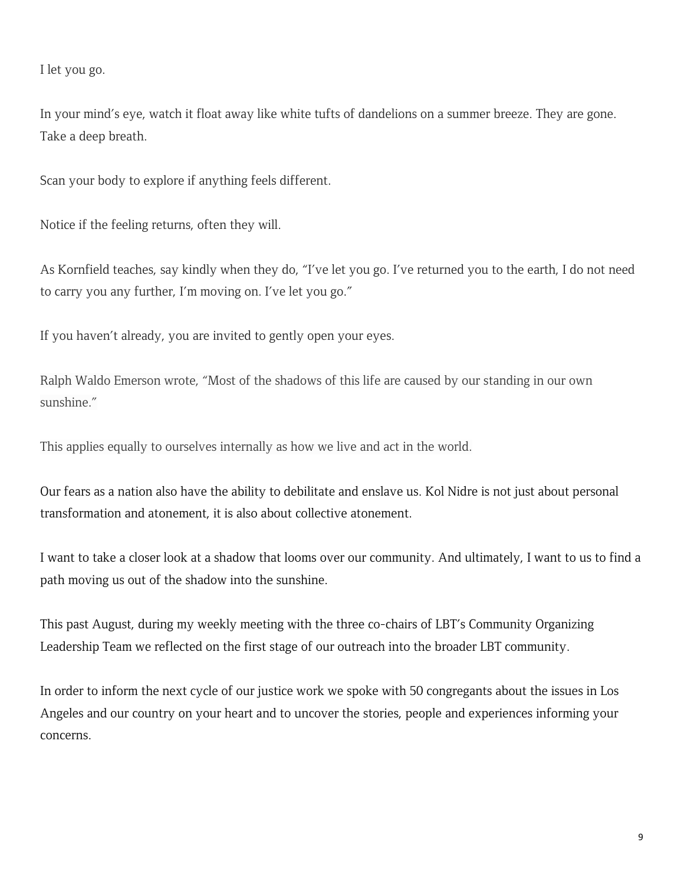I let you go.

In your mind's eye, watch it float away like white tufts of dandelions on a summer breeze. They are gone. Take a deep breath.

Scan your body to explore if anything feels different.

Notice if the feeling returns, often they will.

As Kornfield teaches, say kindly when they do, "I've let you go. I've returned you to the earth, I do not need to carry you any further, I'm moving on. I've let you go."

If you haven't already, you are invited to gently open your eyes.

Ralph Waldo Emerson wrote, "Most of the shadows of this life are caused by our standing in our own sunshine."

This applies equally to ourselves internally as how we live and act in the world.

Our fears as a nation also have the ability to debilitate and enslave us. Kol Nidre is not just about personal transformation and atonement, it is also about collective atonement.

I want to take a closer look at a shadow that looms over our community. And ultimately, I want to us to find a path moving us out of the shadow into the sunshine.

This past August, during my weekly meeting with the three co-chairs of LBT's Community Organizing Leadership Team we reflected on the first stage of our outreach into the broader LBT community.

In order to inform the next cycle of our justice work we spoke with 50 congregants about the issues in Los Angeles and our country on your heart and to uncover the stories, people and experiences informing your concerns.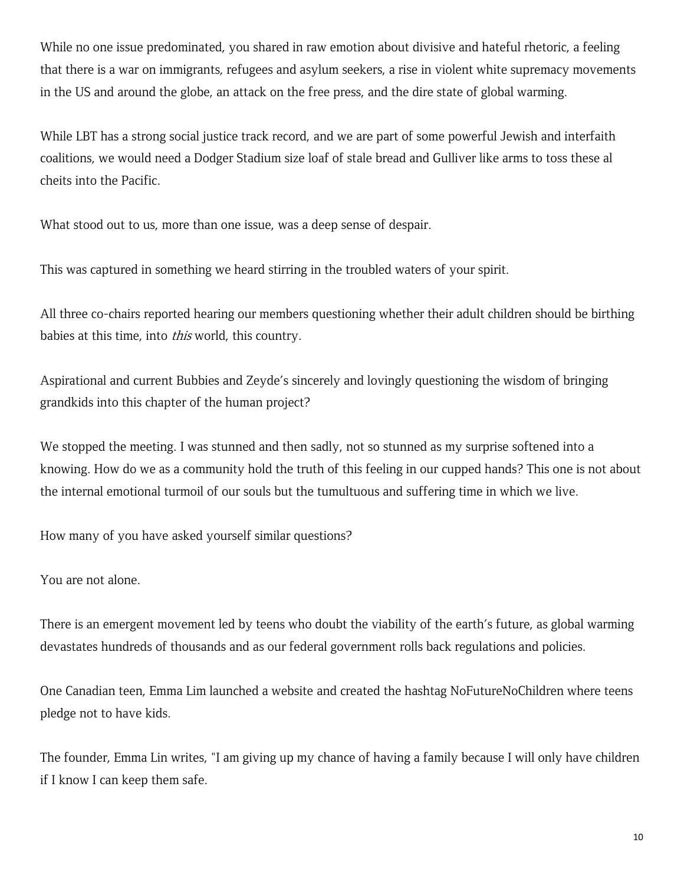While no one issue predominated, you shared in raw emotion about divisive and hateful rhetoric, a feeling that there is a war on immigrants, refugees and asylum seekers, a rise in violent white supremacy movements in the US and around the globe, an attack on the free press, and the dire state of global warming.

While LBT has a strong social justice track record, and we are part of some powerful Jewish and interfaith coalitions, we would need a Dodger Stadium size loaf of stale bread and Gulliver like arms to toss these al cheits into the Pacific.

What stood out to us, more than one issue, was a deep sense of despair.

This was captured in something we heard stirring in the troubled waters of your spirit.

All three co-chairs reported hearing our members questioning whether their adult children should be birthing babies at this time, into *this* world, this country.

Aspirational and current Bubbies and Zeyde's sincerely and lovingly questioning the wisdom of bringing grandkids into this chapter of the human project?

We stopped the meeting. I was stunned and then sadly, not so stunned as my surprise softened into a knowing. How do we as a community hold the truth of this feeling in our cupped hands? This one is not about the internal emotional turmoil of our souls but the tumultuous and suffering time in which we live.

How many of you have asked yourself similar questions?

You are not alone.

There is an emergent movement led by teens who doubt the viability of the earth's future, as global warming devastates hundreds of thousands and as our federal government rolls back regulations and policies.

One Canadian teen, Emma Lim launched a website and created the hashtag NoFutureNoChildren where teens pledge not to have kids.

The founder, Emma Lin writes, "I am giving up my chance of having a family because I will only have children if I know I can keep them safe.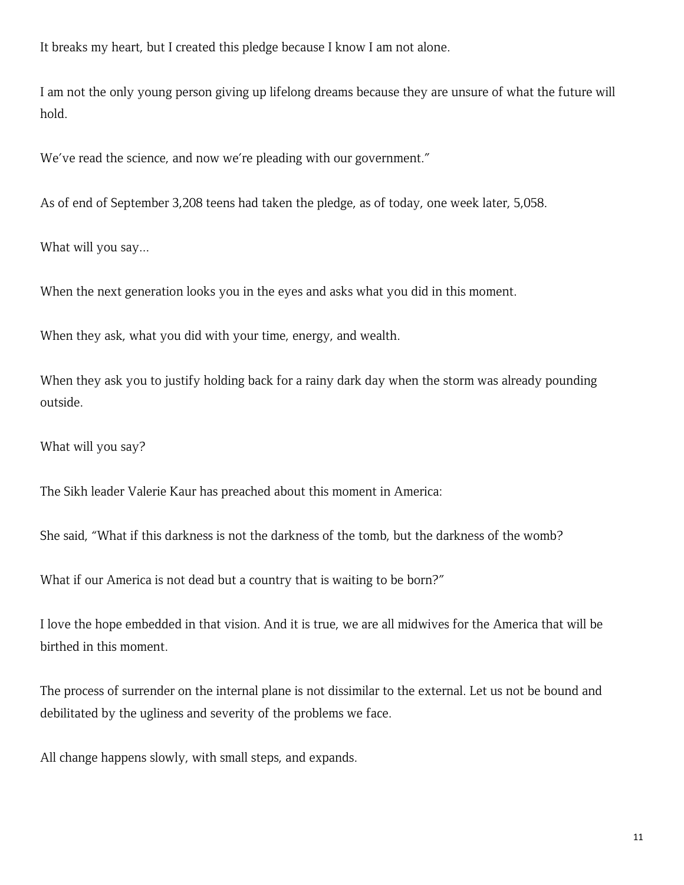It breaks my heart, but I created this pledge because I know I am not alone.

I am not the only young person giving up lifelong dreams because they are unsure of what the future will hold.

We've read the science, and now we're pleading with our government."

As of end of September 3,208 teens had taken the pledge, as of today, one week later, 5,058.

What will you say...

When the next generation looks you in the eyes and asks what you did in this moment.

When they ask, what you did with your time, energy, and wealth.

When they ask you to justify holding back for a rainy dark day when the storm was already pounding outside.

What will you say?

The Sikh leader Valerie Kaur has preached about this moment in America:

She said, "What if this darkness is not the darkness of the tomb, but the darkness of the womb?

What if our America is not dead but a country that is waiting to be born?"

I love the hope embedded in that vision. And it is true, we are all midwives for the America that will be birthed in this moment.

The process of surrender on the internal plane is not dissimilar to the external. Let us not be bound and debilitated by the ugliness and severity of the problems we face.

All change happens slowly, with small steps, and expands.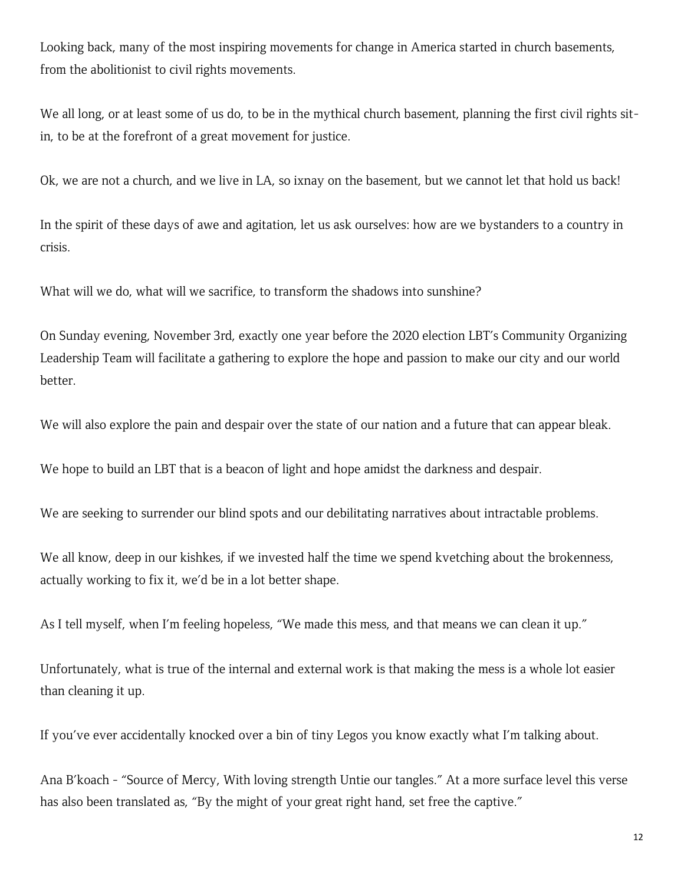Looking back, many of the most inspiring movements for change in America started in church basements, from the abolitionist to civil rights movements.

We all long, or at least some of us do, to be in the mythical church basement, planning the first civil rights sitin, to be at the forefront of a great movement for justice.

Ok, we are not a church, and we live in LA, so ixnay on the basement, but we cannot let that hold us back!

In the spirit of these days of awe and agitation, let us ask ourselves: how are we bystanders to a country in crisis.

What will we do, what will we sacrifice, to transform the shadows into sunshine?

On Sunday evening, November 3rd, exactly one year before the 2020 election LBT's Community Organizing Leadership Team will facilitate a gathering to explore the hope and passion to make our city and our world better.

We will also explore the pain and despair over the state of our nation and a future that can appear bleak.

We hope to build an LBT that is a beacon of light and hope amidst the darkness and despair.

We are seeking to surrender our blind spots and our debilitating narratives about intractable problems.

We all know, deep in our kishkes, if we invested half the time we spend kvetching about the brokenness, actually working to fix it, we'd be in a lot better shape.

As I tell myself, when I'm feeling hopeless, "We made this mess, and that means we can clean it up."

Unfortunately, what is true of the internal and external work is that making the mess is a whole lot easier than cleaning it up.

If you've ever accidentally knocked over a bin of tiny Legos you know exactly what I'm talking about.

Ana B'koach - "Source of Mercy, With loving strength Untie our tangles." At a more surface level this verse has also been translated as, "By the might of your great right hand, set free the captive."